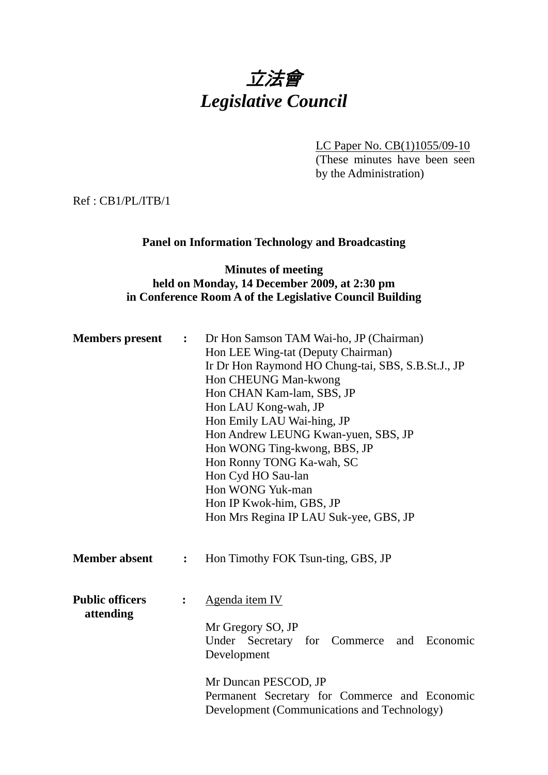# 立法會 *Legislative Council*

LC Paper No. CB(1)1055/09-10

(These minutes have been seen by the Administration)

Ref : CB1/PL/ITB/1

## **Panel on Information Technology and Broadcasting**

## **Minutes of meeting held on Monday, 14 December 2009, at 2:30 pm in Conference Room A of the Legislative Council Building**

| <b>Members</b> present              | $\mathbf{L}$   | Dr Hon Samson TAM Wai-ho, JP (Chairman)<br>Hon LEE Wing-tat (Deputy Chairman)<br>Ir Dr Hon Raymond HO Chung-tai, SBS, S.B.St.J., JP<br>Hon CHEUNG Man-kwong<br>Hon CHAN Kam-lam, SBS, JP<br>Hon LAU Kong-wah, JP<br>Hon Emily LAU Wai-hing, JP<br>Hon Andrew LEUNG Kwan-yuen, SBS, JP<br>Hon WONG Ting-kwong, BBS, JP<br>Hon Ronny TONG Ka-wah, SC<br>Hon Cyd HO Sau-lan<br>Hon WONG Yuk-man<br>Hon IP Kwok-him, GBS, JP<br>Hon Mrs Regina IP LAU Suk-yee, GBS, JP |  |
|-------------------------------------|----------------|--------------------------------------------------------------------------------------------------------------------------------------------------------------------------------------------------------------------------------------------------------------------------------------------------------------------------------------------------------------------------------------------------------------------------------------------------------------------|--|
| <b>Member absent</b>                | $\ddot{\cdot}$ | Hon Timothy FOK Tsun-ting, GBS, JP                                                                                                                                                                                                                                                                                                                                                                                                                                 |  |
| <b>Public officers</b><br>attending | $\ddot{\cdot}$ | Agenda item IV<br>Mr Gregory SO, JP<br>Under Secretary for Commerce and Economic<br>Development<br>Mr Duncan PESCOD, JP<br>Permanent Secretary for Commerce and Economic<br>Development (Communications and Technology)                                                                                                                                                                                                                                            |  |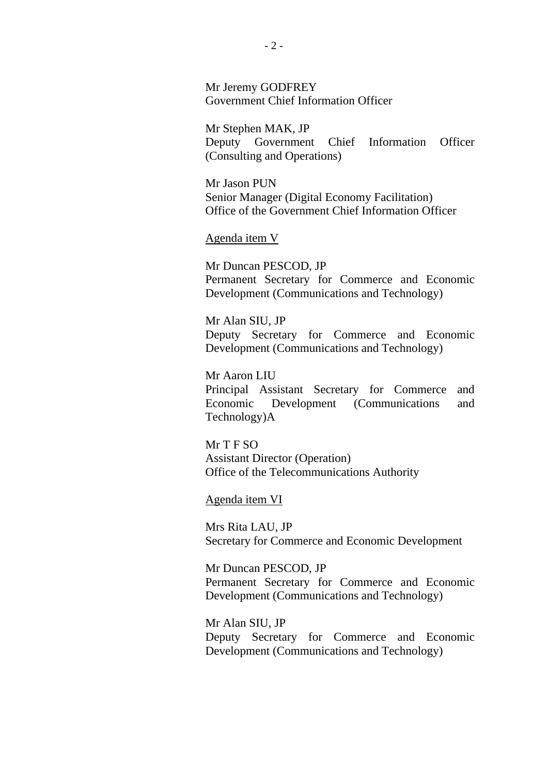Mr Jeremy GODFREY Government Chief Information Officer

Mr Stephen MAK, JP Deputy Government Chief Information Officer (Consulting and Operations)

Mr Jason PUN Senior Manager (Digital Economy Facilitation) Office of the Government Chief Information Officer

#### Agenda item V

Mr Duncan PESCOD, JP Permanent Secretary for Commerce and Economic Development (Communications and Technology)

Mr Alan SIU, JP Deputy Secretary for Commerce and Economic Development (Communications and Technology)

Mr Aaron LIU Principal Assistant Secretary for Commerce and Economic Development (Communications and Technology)A

Mr T F SO Assistant Director (Operation) Office of the Telecommunications Authority

Agenda item VI

Mrs Rita LAU, JP Secretary for Commerce and Economic Development

Mr Duncan PESCOD, JP Permanent Secretary for Commerce and Economic Development (Communications and Technology)

Mr Alan SIU, JP Deputy Secretary for Commerce and Economic Development (Communications and Technology)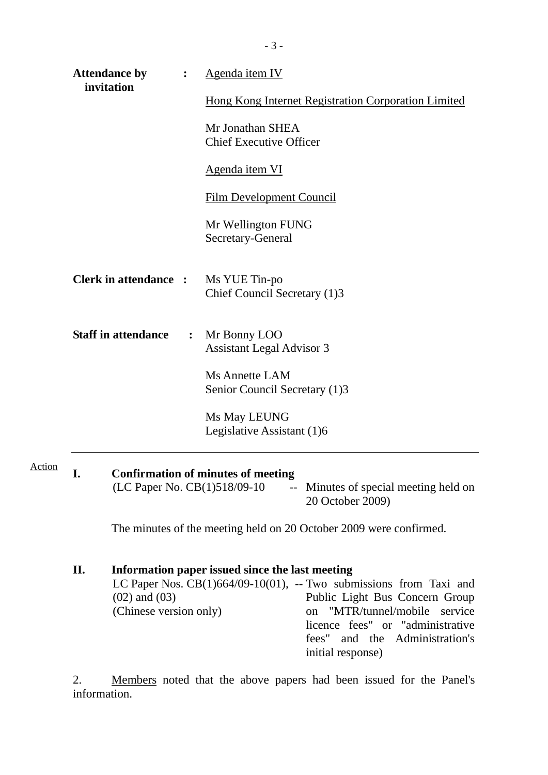|                                                                            | <b>Attendance by</b><br>invitation                                                                                                                                                                                                                                                                                                       |  | Agenda item IV                                             |  |  |
|----------------------------------------------------------------------------|------------------------------------------------------------------------------------------------------------------------------------------------------------------------------------------------------------------------------------------------------------------------------------------------------------------------------------------|--|------------------------------------------------------------|--|--|
|                                                                            |                                                                                                                                                                                                                                                                                                                                          |  | <b>Hong Kong Internet Registration Corporation Limited</b> |  |  |
|                                                                            |                                                                                                                                                                                                                                                                                                                                          |  | Mr Jonathan SHEA<br><b>Chief Executive Officer</b>         |  |  |
|                                                                            |                                                                                                                                                                                                                                                                                                                                          |  | Agenda item VI                                             |  |  |
|                                                                            |                                                                                                                                                                                                                                                                                                                                          |  | <b>Film Development Council</b>                            |  |  |
|                                                                            |                                                                                                                                                                                                                                                                                                                                          |  | Mr Wellington FUNG<br>Secretary-General                    |  |  |
| <b>Clerk in attendance : Ms YUE Tin-po</b><br>Chief Council Secretary (1)3 |                                                                                                                                                                                                                                                                                                                                          |  |                                                            |  |  |
| <b>Staff in attendance</b>                                                 |                                                                                                                                                                                                                                                                                                                                          |  | : Mr Bonny LOO<br><b>Assistant Legal Advisor 3</b>         |  |  |
|                                                                            |                                                                                                                                                                                                                                                                                                                                          |  | Ms Annette LAM<br>Senior Council Secretary (1)3            |  |  |
|                                                                            |                                                                                                                                                                                                                                                                                                                                          |  | Ms May LEUNG<br>Legislative Assistant (1)6                 |  |  |
| I.                                                                         |                                                                                                                                                                                                                                                                                                                                          |  |                                                            |  |  |
|                                                                            | <b>Confirmation of minutes of meeting</b><br>(LC Paper No. CB(1)518/09-10<br>Minutes of special meeting held on<br>$\mathbb{H}^{\mathbb{H}}$ .<br>20 October 2009)                                                                                                                                                                       |  |                                                            |  |  |
|                                                                            | The minutes of the meeting held on 20 October 2009 were confirmed.                                                                                                                                                                                                                                                                       |  |                                                            |  |  |
| II.                                                                        | Information paper issued since the last meeting<br>LC Paper Nos. $CB(1)664/09-10(01)$ , -- Two submissions from Taxi and<br>$(02)$ and $(03)$<br>Public Light Bus Concern Group<br>"MTR/tunnel/mobile service<br>(Chinese version only)<br>on<br>licence fees" or "administrative<br>fees" and the Administration's<br>initial response) |  |                                                            |  |  |

 $\overline{\phantom{0}}$ 

Action

2. Members noted that the above papers had been issued for the Panel's information.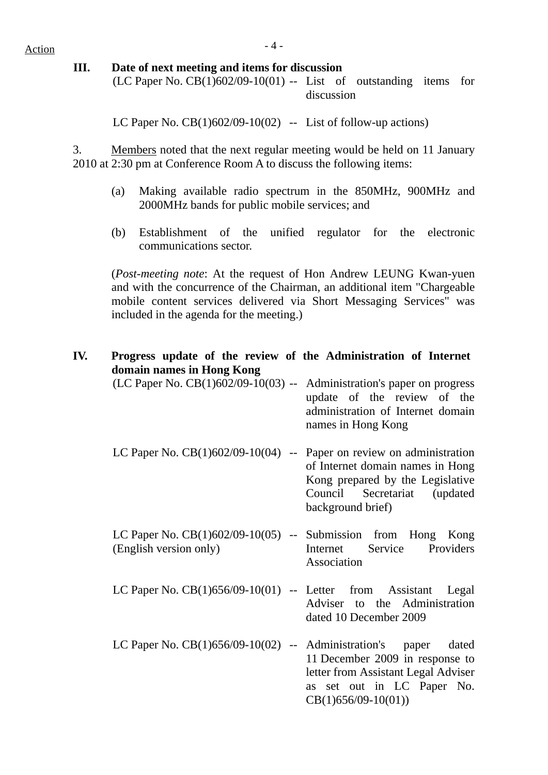## $Action$

#### **III. Date of next meeting and items for discussion**

 $(LC$  Paper No.  $CB(1)602/09-10(01)$  -- List of outstanding items for discussion

LC Paper No.  $CB(1)602/09-10(02)$  -- List of follow-up actions)

3. Members noted that the next regular meeting would be held on 11 January 2010 at 2:30 pm at Conference Room A to discuss the following items:

- (a) Making available radio spectrum in the 850MHz, 900MHz and 2000MHz bands for public mobile services; and
- (b) Establishment of the unified regulator for the electronic communications sector.

(*Post-meeting note*: At the request of Hon Andrew LEUNG Kwan-yuen and with the concurrence of the Chairman, an additional item "Chargeable mobile content services delivered via Short Messaging Services" was included in the agenda for the meeting.)

### **IV. Progress update of the review of the Administration of Internet domain names in Hong Kong**

| (LC Paper No. CB(1)602/09-10(03) -- Administration's paper on progress                   | update of the review of the<br>administration of Internet domain<br>names in Hong Kong                                    |
|------------------------------------------------------------------------------------------|---------------------------------------------------------------------------------------------------------------------------|
| LC Paper No. $CB(1)602/09-10(04)$ -- Paper on review on administration                   | of Internet domain names in Hong<br>Kong prepared by the Legislative<br>Council Secretariat (updated<br>background brief) |
| LC Paper No. $CB(1)602/09-10(05)$ -- Submission from Hong Kong<br>(English version only) | Internet Service Providers<br>Association                                                                                 |
| LC Paper No. $CB(1)656/09-10(01)$ -- Letter from Assistant Legal                         | Adviser to the Administration<br>dated 10 December 2009                                                                   |
| LC Paper No. $CB(1)656/09-10(02)$ -- Administration's                                    | dated<br>paper                                                                                                            |

11 December 2009 in response to letter from Assistant Legal Adviser as set out in LC Paper No. CB(1)656/09-10(01))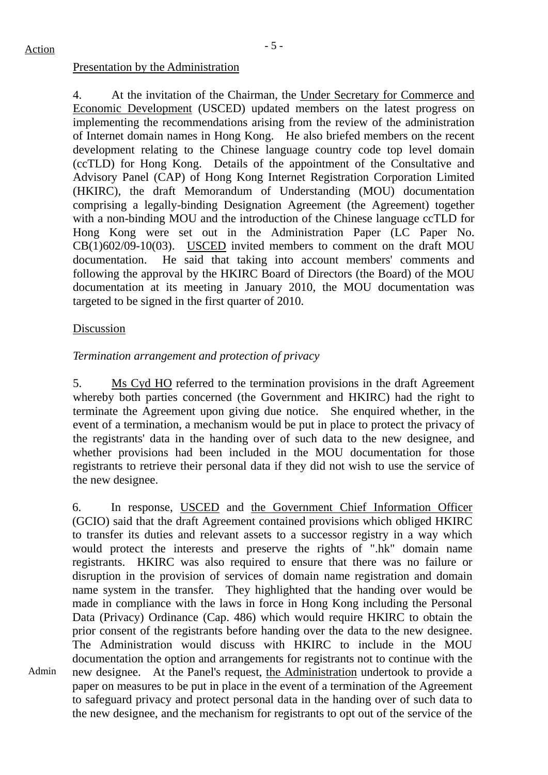#### Presentation by the Administration

4. At the invitation of the Chairman, the Under Secretary for Commerce and Economic Development (USCED) updated members on the latest progress on implementing the recommendations arising from the review of the administration of Internet domain names in Hong Kong. He also briefed members on the recent development relating to the Chinese language country code top level domain (ccTLD) for Hong Kong. Details of the appointment of the Consultative and Advisory Panel (CAP) of Hong Kong Internet Registration Corporation Limited (HKIRC), the draft Memorandum of Understanding (MOU) documentation comprising a legally-binding Designation Agreement (the Agreement) together with a non-binding MOU and the introduction of the Chinese language ccTLD for Hong Kong were set out in the Administration Paper (LC Paper No. CB(1)602/09-10(03). USCED invited members to comment on the draft MOU documentation. He said that taking into account members' comments and following the approval by the HKIRC Board of Directors (the Board) of the MOU documentation at its meeting in January 2010, the MOU documentation was targeted to be signed in the first quarter of 2010.

#### Discussion

Admin

## *Termination arrangement and protection of privacy*

5. Ms Cyd HO referred to the termination provisions in the draft Agreement whereby both parties concerned (the Government and HKIRC) had the right to terminate the Agreement upon giving due notice. She enquired whether, in the event of a termination, a mechanism would be put in place to protect the privacy of the registrants' data in the handing over of such data to the new designee, and whether provisions had been included in the MOU documentation for those registrants to retrieve their personal data if they did not wish to use the service of the new designee.

6. In response, USCED and the Government Chief Information Officer (GCIO) said that the draft Agreement contained provisions which obliged HKIRC to transfer its duties and relevant assets to a successor registry in a way which would protect the interests and preserve the rights of ".hk" domain name registrants. HKIRC was also required to ensure that there was no failure or disruption in the provision of services of domain name registration and domain name system in the transfer. They highlighted that the handing over would be made in compliance with the laws in force in Hong Kong including the Personal Data (Privacy) Ordinance (Cap. 486) which would require HKIRC to obtain the prior consent of the registrants before handing over the data to the new designee. The Administration would discuss with HKIRC to include in the MOU documentation the option and arrangements for registrants not to continue with the new designee. At the Panel's request, the Administration undertook to provide a paper on measures to be put in place in the event of a termination of the Agreement to safeguard privacy and protect personal data in the handing over of such data to the new designee, and the mechanism for registrants to opt out of the service of the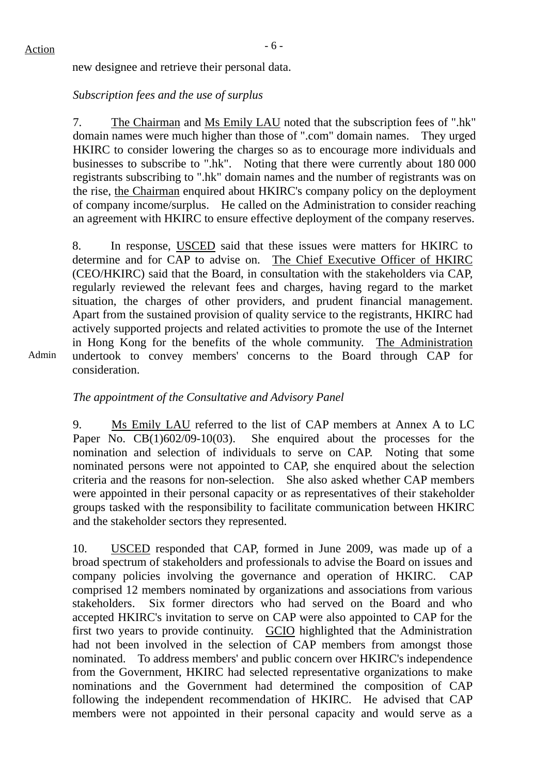new designee and retrieve their personal data.

## *Subscription fees and the use of surplus*

7. The Chairman and Ms Emily LAU noted that the subscription fees of ".hk" domain names were much higher than those of ".com" domain names. They urged HKIRC to consider lowering the charges so as to encourage more individuals and businesses to subscribe to ".hk". Noting that there were currently about 180 000 registrants subscribing to ".hk" domain names and the number of registrants was on the rise, the Chairman enquired about HKIRC's company policy on the deployment of company income/surplus. He called on the Administration to consider reaching an agreement with HKIRC to ensure effective deployment of the company reserves.

8. In response, USCED said that these issues were matters for HKIRC to determine and for CAP to advise on. The Chief Executive Officer of HKIRC (CEO/HKIRC) said that the Board, in consultation with the stakeholders via CAP, regularly reviewed the relevant fees and charges, having regard to the market situation, the charges of other providers, and prudent financial management. Apart from the sustained provision of quality service to the registrants, HKIRC had actively supported projects and related activities to promote the use of the Internet in Hong Kong for the benefits of the whole community. The Administration undertook to convey members' concerns to the Board through CAP for consideration.

Admin

## *The appointment of the Consultative and Advisory Panel*

9. Ms Emily LAU referred to the list of CAP members at Annex A to LC Paper No. CB(1)602/09-10(03). She enquired about the processes for the nomination and selection of individuals to serve on CAP. Noting that some nominated persons were not appointed to CAP, she enquired about the selection criteria and the reasons for non-selection. She also asked whether CAP members were appointed in their personal capacity or as representatives of their stakeholder groups tasked with the responsibility to facilitate communication between HKIRC and the stakeholder sectors they represented.

10. USCED responded that CAP, formed in June 2009, was made up of a broad spectrum of stakeholders and professionals to advise the Board on issues and company policies involving the governance and operation of HKIRC. CAP comprised 12 members nominated by organizations and associations from various stakeholders. Six former directors who had served on the Board and who accepted HKIRC's invitation to serve on CAP were also appointed to CAP for the first two years to provide continuity. GCIO highlighted that the Administration had not been involved in the selection of CAP members from amongst those nominated. To address members' and public concern over HKIRC's independence from the Government, HKIRC had selected representative organizations to make nominations and the Government had determined the composition of CAP following the independent recommendation of HKIRC. He advised that CAP members were not appointed in their personal capacity and would serve as a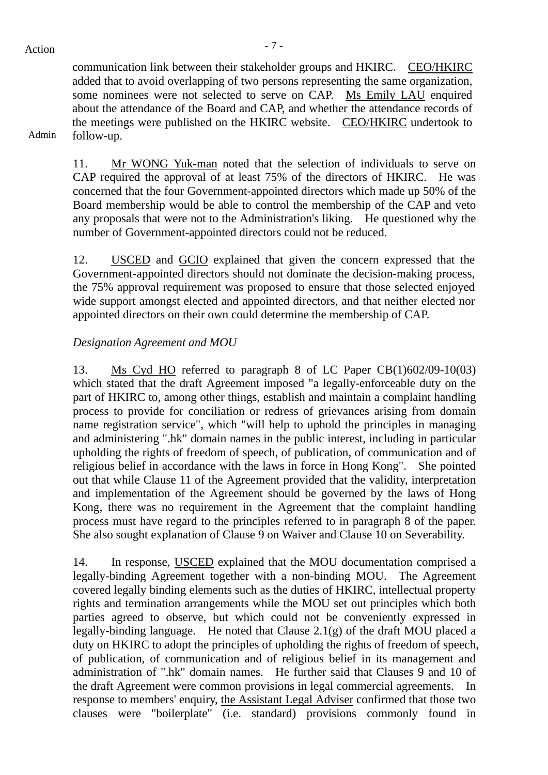communication link between their stakeholder groups and HKIRC. CEO/HKIRC added that to avoid overlapping of two persons representing the same organization, some nominees were not selected to serve on CAP. Ms Emily LAU enquired about the attendance of the Board and CAP, and whether the attendance records of the meetings were published on the HKIRC website. CEO/HKIRC undertook to follow-up.

#### Admin

11. Mr WONG Yuk-man noted that the selection of individuals to serve on CAP required the approval of at least 75% of the directors of HKIRC. He was concerned that the four Government-appointed directors which made up 50% of the Board membership would be able to control the membership of the CAP and veto any proposals that were not to the Administration's liking. He questioned why the number of Government-appointed directors could not be reduced.

12. USCED and GCIO explained that given the concern expressed that the Government-appointed directors should not dominate the decision-making process, the 75% approval requirement was proposed to ensure that those selected enjoyed wide support amongst elected and appointed directors, and that neither elected nor appointed directors on their own could determine the membership of CAP.

#### *Designation Agreement and MOU*

13. Ms Cyd HO referred to paragraph 8 of LC Paper CB(1)602/09-10(03) which stated that the draft Agreement imposed "a legally-enforceable duty on the part of HKIRC to, among other things, establish and maintain a complaint handling process to provide for conciliation or redress of grievances arising from domain name registration service", which "will help to uphold the principles in managing and administering ".hk" domain names in the public interest, including in particular upholding the rights of freedom of speech, of publication, of communication and of religious belief in accordance with the laws in force in Hong Kong". She pointed out that while Clause 11 of the Agreement provided that the validity, interpretation and implementation of the Agreement should be governed by the laws of Hong Kong, there was no requirement in the Agreement that the complaint handling process must have regard to the principles referred to in paragraph 8 of the paper. She also sought explanation of Clause 9 on Waiver and Clause 10 on Severability.

14. In response, USCED explained that the MOU documentation comprised a legally-binding Agreement together with a non-binding MOU. The Agreement covered legally binding elements such as the duties of HKIRC, intellectual property rights and termination arrangements while the MOU set out principles which both parties agreed to observe, but which could not be conveniently expressed in legally-binding language. He noted that Clause 2.1(g) of the draft MOU placed a duty on HKIRC to adopt the principles of upholding the rights of freedom of speech, of publication, of communication and of religious belief in its management and administration of ".hk" domain names. He further said that Clauses 9 and 10 of the draft Agreement were common provisions in legal commercial agreements. In response to members' enquiry, the Assistant Legal Adviser confirmed that those two clauses were "boilerplate" (i.e. standard) provisions commonly found in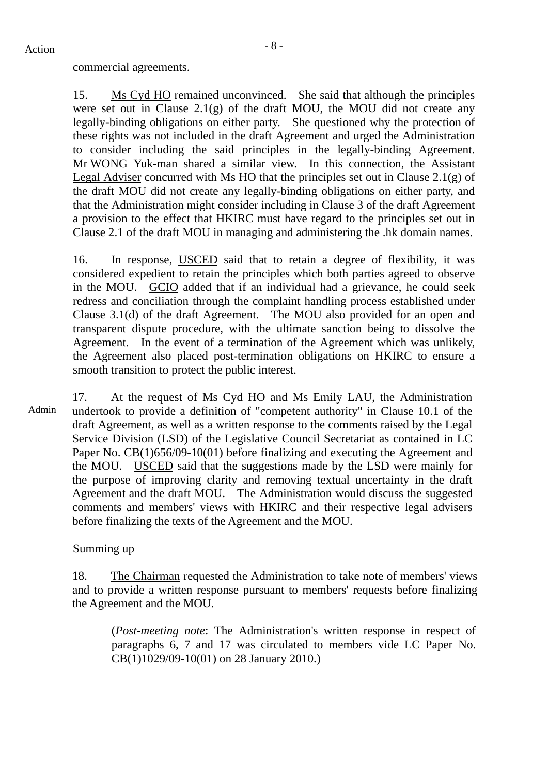commercial agreements.

15. Ms Cyd HO remained unconvinced. She said that although the principles were set out in Clause  $2.1(g)$  of the draft MOU, the MOU did not create any legally-binding obligations on either party. She questioned why the protection of these rights was not included in the draft Agreement and urged the Administration to consider including the said principles in the legally-binding Agreement. Mr WONG Yuk-man shared a similar view. In this connection, the Assistant Legal Adviser concurred with Ms HO that the principles set out in Clause 2.1(g) of the draft MOU did not create any legally-binding obligations on either party, and that the Administration might consider including in Clause 3 of the draft Agreement a provision to the effect that HKIRC must have regard to the principles set out in Clause 2.1 of the draft MOU in managing and administering the .hk domain names.

16. In response, USCED said that to retain a degree of flexibility, it was considered expedient to retain the principles which both parties agreed to observe in the MOU. GCIO added that if an individual had a grievance, he could seek redress and conciliation through the complaint handling process established under Clause 3.1(d) of the draft Agreement. The MOU also provided for an open and transparent dispute procedure, with the ultimate sanction being to dissolve the Agreement. In the event of a termination of the Agreement which was unlikely, the Agreement also placed post-termination obligations on HKIRC to ensure a smooth transition to protect the public interest.

Admin 17. At the request of Ms Cyd HO and Ms Emily LAU, the Administration undertook to provide a definition of "competent authority" in Clause 10.1 of the draft Agreement, as well as a written response to the comments raised by the Legal Service Division (LSD) of the Legislative Council Secretariat as contained in LC Paper No. CB(1)656/09-10(01) before finalizing and executing the Agreement and the MOU. USCED said that the suggestions made by the LSD were mainly for the purpose of improving clarity and removing textual uncertainty in the draft Agreement and the draft MOU. The Administration would discuss the suggested comments and members' views with HKIRC and their respective legal advisers before finalizing the texts of the Agreement and the MOU.

#### Summing up

18. The Chairman requested the Administration to take note of members' views and to provide a written response pursuant to members' requests before finalizing the Agreement and the MOU.

(*Post-meeting note*: The Administration's written response in respect of paragraphs 6, 7 and 17 was circulated to members vide LC Paper No. CB(1)1029/09-10(01) on 28 January 2010.)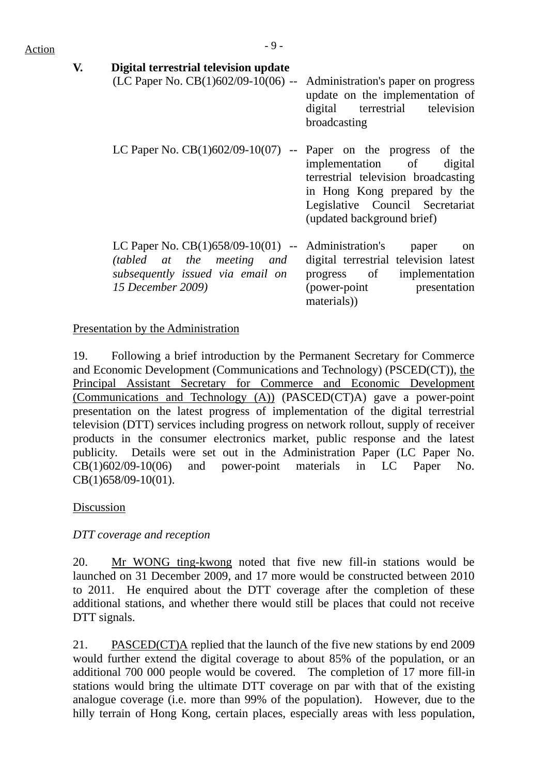| V. | Digital terrestrial television update<br>(LC Paper No. $CB(1)602/09-10(06)$ -- Administration's paper on progress                            | update on the implementation of<br>digital terrestrial television<br>broadcasting                                                                                 |
|----|----------------------------------------------------------------------------------------------------------------------------------------------|-------------------------------------------------------------------------------------------------------------------------------------------------------------------|
|    | LC Paper No. $CB(1)602/09-10(07)$ -- Paper on the progress of the                                                                            | implementation of digital<br>terrestrial television broadcasting<br>in Hong Kong prepared by the<br>Legislative Council Secretariat<br>(updated background brief) |
|    | LC Paper No. $CB(1)658/09-10(01)$ -- Administration's<br>(tabled at the meeting and<br>subsequently issued via email on<br>15 December 2009) | paper<br><sub>on</sub><br>digital terrestrial television latest<br>progress of implementation<br>(power-point presentation<br>materials)                          |

#### Presentation by the Administration

19. Following a brief introduction by the Permanent Secretary for Commerce and Economic Development (Communications and Technology) (PSCED(CT)), the Principal Assistant Secretary for Commerce and Economic Development (Communications and Technology (A)) (PASCED(CT)A) gave a power-point presentation on the latest progress of implementation of the digital terrestrial television (DTT) services including progress on network rollout, supply of receiver products in the consumer electronics market, public response and the latest publicity. Details were set out in the Administration Paper (LC Paper No. CB(1)602/09-10(06) and power-point materials in LC Paper No. CB(1)658/09-10(01).

## Discussion

*DTT coverage and reception* 

20. Mr WONG ting-kwong noted that five new fill-in stations would be launched on 31 December 2009, and 17 more would be constructed between 2010 to 2011. He enquired about the DTT coverage after the completion of these additional stations, and whether there would still be places that could not receive DTT signals.

21. PASCED(CT)A replied that the launch of the five new stations by end 2009 would further extend the digital coverage to about 85% of the population, or an additional 700 000 people would be covered. The completion of 17 more fill-in stations would bring the ultimate DTT coverage on par with that of the existing analogue coverage (i.e. more than 99% of the population). However, due to the hilly terrain of Hong Kong, certain places, especially areas with less population,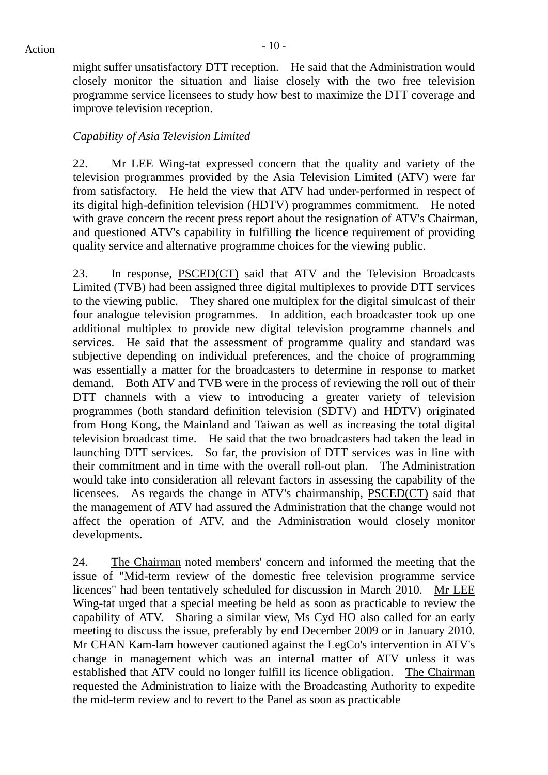might suffer unsatisfactory DTT reception. He said that the Administration would closely monitor the situation and liaise closely with the two free television programme service licensees to study how best to maximize the DTT coverage and improve television reception.

## *Capability of Asia Television Limited*

22. Mr LEE Wing-tat expressed concern that the quality and variety of the television programmes provided by the Asia Television Limited (ATV) were far from satisfactory. He held the view that ATV had under-performed in respect of its digital high-definition television (HDTV) programmes commitment. He noted with grave concern the recent press report about the resignation of ATV's Chairman, and questioned ATV's capability in fulfilling the licence requirement of providing quality service and alternative programme choices for the viewing public.

23. In response, PSCED(CT) said that ATV and the Television Broadcasts Limited (TVB) had been assigned three digital multiplexes to provide DTT services to the viewing public. They shared one multiplex for the digital simulcast of their four analogue television programmes. In addition, each broadcaster took up one additional multiplex to provide new digital television programme channels and services. He said that the assessment of programme quality and standard was subjective depending on individual preferences, and the choice of programming was essentially a matter for the broadcasters to determine in response to market demand. Both ATV and TVB were in the process of reviewing the roll out of their DTT channels with a view to introducing a greater variety of television programmes (both standard definition television (SDTV) and HDTV) originated from Hong Kong, the Mainland and Taiwan as well as increasing the total digital television broadcast time. He said that the two broadcasters had taken the lead in launching DTT services. So far, the provision of DTT services was in line with their commitment and in time with the overall roll-out plan. The Administration would take into consideration all relevant factors in assessing the capability of the licensees. As regards the change in ATV's chairmanship, PSCED(CT) said that the management of ATV had assured the Administration that the change would not affect the operation of ATV, and the Administration would closely monitor developments.

24. The Chairman noted members' concern and informed the meeting that the issue of "Mid-term review of the domestic free television programme service licences" had been tentatively scheduled for discussion in March 2010. Mr LEE Wing-tat urged that a special meeting be held as soon as practicable to review the capability of ATV. Sharing a similar view, Ms Cyd HO also called for an early meeting to discuss the issue, preferably by end December 2009 or in January 2010. Mr CHAN Kam-lam however cautioned against the LegCo's intervention in ATV's change in management which was an internal matter of ATV unless it was established that ATV could no longer fulfill its licence obligation. The Chairman requested the Administration to liaize with the Broadcasting Authority to expedite the mid-term review and to revert to the Panel as soon as practicable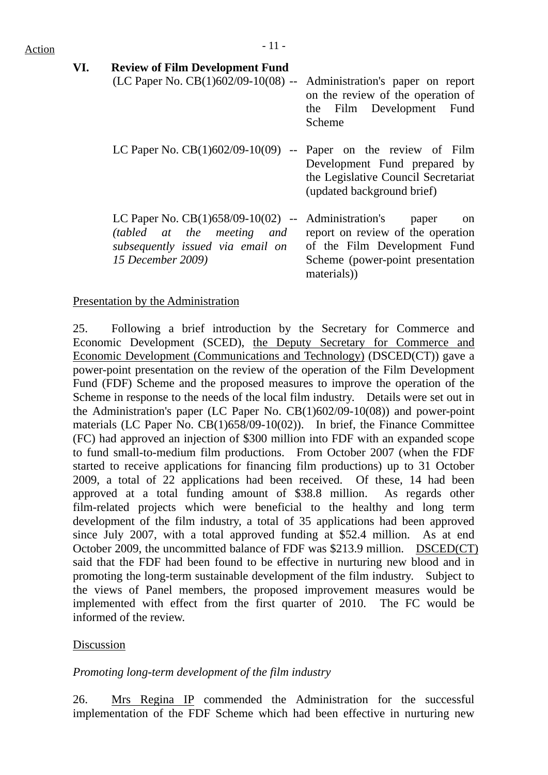# $Action$

#### **VI. Review of Film Development Fund**

- (LC Paper No. CB(1)602/09-10(08) -- Administration's paper on report on the review of the operation of the Film Development Fund Scheme
- LC Paper No.  $CB(1)602/09-10(09)$  -- Paper on the review of Film Development Fund prepared by the Legislative Council Secretariat (updated background brief)

LC Paper No. CB(1)658/09-10(02) -- Administration's paper on *(tabled at the meeting and subsequently issued via email on 15 December 2009)*  report on review of the operation of the Film Development Fund Scheme (power-point presentation materials))

## Presentation by the Administration

25. Following a brief introduction by the Secretary for Commerce and Economic Development (SCED), the Deputy Secretary for Commerce and Economic Development (Communications and Technology) (DSCED(CT)) gave a power-point presentation on the review of the operation of the Film Development Fund (FDF) Scheme and the proposed measures to improve the operation of the Scheme in response to the needs of the local film industry. Details were set out in the Administration's paper (LC Paper No. CB(1)602/09-10(08)) and power-point materials (LC Paper No. CB(1)658/09-10(02)). In brief, the Finance Committee (FC) had approved an injection of \$300 million into FDF with an expanded scope to fund small-to-medium film productions. From October 2007 (when the FDF started to receive applications for financing film productions) up to 31 October 2009, a total of 22 applications had been received. Of these, 14 had been approved at a total funding amount of \$38.8 million. As regards other film-related projects which were beneficial to the healthy and long term development of the film industry, a total of 35 applications had been approved since July 2007, with a total approved funding at \$52.4 million. As at end October 2009, the uncommitted balance of FDF was \$213.9 million. DSCED(CT) said that the FDF had been found to be effective in nurturing new blood and in promoting the long-term sustainable development of the film industry. Subject to the views of Panel members, the proposed improvement measures would be implemented with effect from the first quarter of 2010. The FC would be informed of the review.

## Discussion

## *Promoting long-term development of the film industry*

26. Mrs Regina IP commended the Administration for the successful implementation of the FDF Scheme which had been effective in nurturing new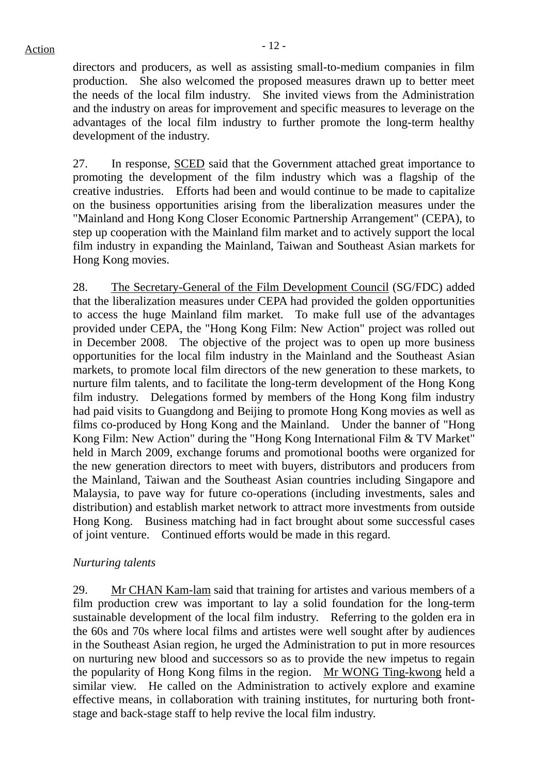directors and producers, as well as assisting small-to-medium companies in film production. She also welcomed the proposed measures drawn up to better meet the needs of the local film industry. She invited views from the Administration and the industry on areas for improvement and specific measures to leverage on the advantages of the local film industry to further promote the long-term healthy development of the industry.

27. In response, SCED said that the Government attached great importance to promoting the development of the film industry which was a flagship of the creative industries. Efforts had been and would continue to be made to capitalize on the business opportunities arising from the liberalization measures under the "Mainland and Hong Kong Closer Economic Partnership Arrangement" (CEPA), to step up cooperation with the Mainland film market and to actively support the local film industry in expanding the Mainland, Taiwan and Southeast Asian markets for Hong Kong movies.

28. The Secretary-General of the Film Development Council (SG/FDC) added that the liberalization measures under CEPA had provided the golden opportunities to access the huge Mainland film market. To make full use of the advantages provided under CEPA, the "Hong Kong Film: New Action" project was rolled out in December 2008. The objective of the project was to open up more business opportunities for the local film industry in the Mainland and the Southeast Asian markets, to promote local film directors of the new generation to these markets, to nurture film talents, and to facilitate the long-term development of the Hong Kong film industry. Delegations formed by members of the Hong Kong film industry had paid visits to Guangdong and Beijing to promote Hong Kong movies as well as films co-produced by Hong Kong and the Mainland. Under the banner of "Hong Kong Film: New Action" during the "Hong Kong International Film & TV Market" held in March 2009, exchange forums and promotional booths were organized for the new generation directors to meet with buyers, distributors and producers from the Mainland, Taiwan and the Southeast Asian countries including Singapore and Malaysia, to pave way for future co-operations (including investments, sales and distribution) and establish market network to attract more investments from outside Hong Kong. Business matching had in fact brought about some successful cases of joint venture. Continued efforts would be made in this regard.

## *Nurturing talents*

29. Mr CHAN Kam-lam said that training for artistes and various members of a film production crew was important to lay a solid foundation for the long-term sustainable development of the local film industry. Referring to the golden era in the 60s and 70s where local films and artistes were well sought after by audiences in the Southeast Asian region, he urged the Administration to put in more resources on nurturing new blood and successors so as to provide the new impetus to regain the popularity of Hong Kong films in the region. Mr WONG Ting-kwong held a similar view. He called on the Administration to actively explore and examine effective means, in collaboration with training institutes, for nurturing both frontstage and back-stage staff to help revive the local film industry.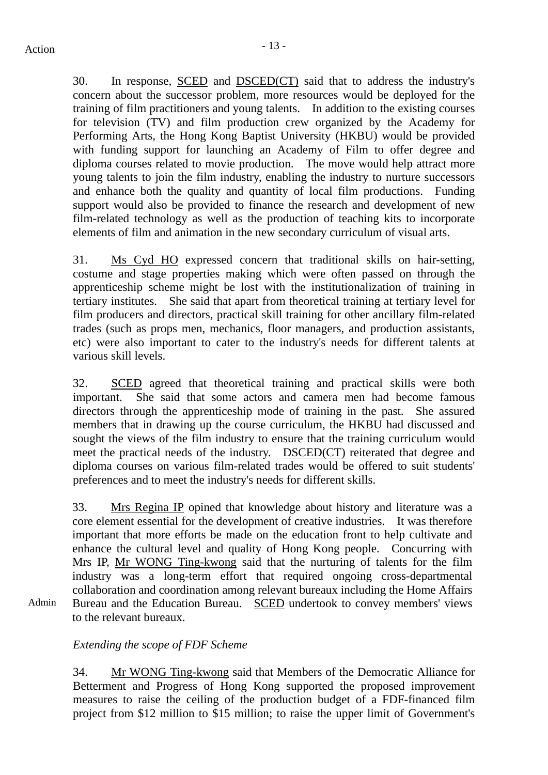30. In response, SCED and DSCED(CT) said that to address the industry's concern about the successor problem, more resources would be deployed for the training of film practitioners and young talents. In addition to the existing courses for television (TV) and film production crew organized by the Academy for Performing Arts, the Hong Kong Baptist University (HKBU) would be provided with funding support for launching an Academy of Film to offer degree and diploma courses related to movie production. The move would help attract more young talents to join the film industry, enabling the industry to nurture successors and enhance both the quality and quantity of local film productions. Funding support would also be provided to finance the research and development of new film-related technology as well as the production of teaching kits to incorporate elements of film and animation in the new secondary curriculum of visual arts.

31. Ms Cyd HO expressed concern that traditional skills on hair-setting, costume and stage properties making which were often passed on through the apprenticeship scheme might be lost with the institutionalization of training in tertiary institutes. She said that apart from theoretical training at tertiary level for film producers and directors, practical skill training for other ancillary film-related trades (such as props men, mechanics, floor managers, and production assistants, etc) were also important to cater to the industry's needs for different talents at various skill levels.

32. SCED agreed that theoretical training and practical skills were both important. She said that some actors and camera men had become famous directors through the apprenticeship mode of training in the past. She assured members that in drawing up the course curriculum, the HKBU had discussed and sought the views of the film industry to ensure that the training curriculum would meet the practical needs of the industry. DSCED(CT) reiterated that degree and diploma courses on various film-related trades would be offered to suit students' preferences and to meet the industry's needs for different skills.

33. Mrs Regina IP opined that knowledge about history and literature was a core element essential for the development of creative industries. It was therefore important that more efforts be made on the education front to help cultivate and enhance the cultural level and quality of Hong Kong people. Concurring with Mrs IP, Mr WONG Ting-kwong said that the nurturing of talents for the film industry was a long-term effort that required ongoing cross-departmental collaboration and coordination among relevant bureaux including the Home Affairs Bureau and the Education Bureau. SCED undertook to convey members' views to the relevant bureaux.

Admin

## *Extending the scope of FDF Scheme*

34. Mr WONG Ting-kwong said that Members of the Democratic Alliance for Betterment and Progress of Hong Kong supported the proposed improvement measures to raise the ceiling of the production budget of a FDF-financed film project from \$12 million to \$15 million; to raise the upper limit of Government's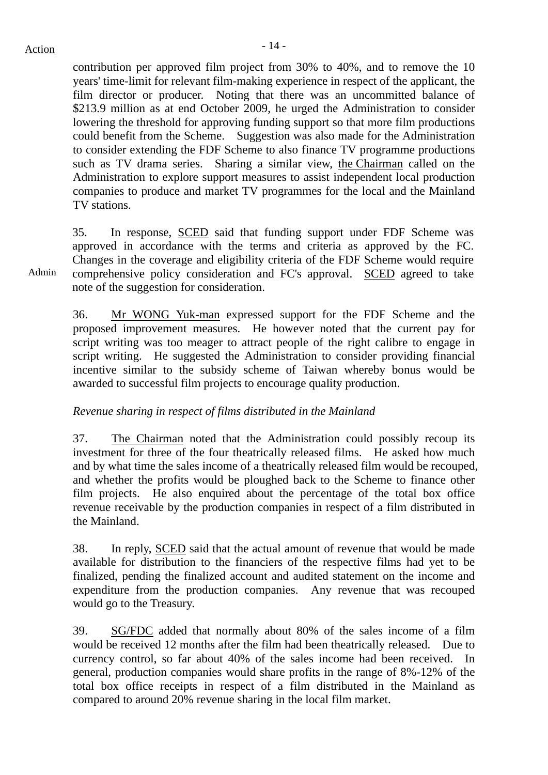contribution per approved film project from 30% to 40%, and to remove the 10 years' time-limit for relevant film-making experience in respect of the applicant, the film director or producer. Noting that there was an uncommitted balance of \$213.9 million as at end October 2009, he urged the Administration to consider lowering the threshold for approving funding support so that more film productions could benefit from the Scheme. Suggestion was also made for the Administration to consider extending the FDF Scheme to also finance TV programme productions such as TV drama series. Sharing a similar view, the Chairman called on the Administration to explore support measures to assist independent local production companies to produce and market TV programmes for the local and the Mainland TV stations.

35. In response, SCED said that funding support under FDF Scheme was approved in accordance with the terms and criteria as approved by the FC. Changes in the coverage and eligibility criteria of the FDF Scheme would require comprehensive policy consideration and FC's approval. SCED agreed to take note of the suggestion for consideration.

36. Mr WONG Yuk-man expressed support for the FDF Scheme and the proposed improvement measures. He however noted that the current pay for script writing was too meager to attract people of the right calibre to engage in script writing. He suggested the Administration to consider providing financial incentive similar to the subsidy scheme of Taiwan whereby bonus would be awarded to successful film projects to encourage quality production.

## *Revenue sharing in respect of films distributed in the Mainland*

37. The Chairman noted that the Administration could possibly recoup its investment for three of the four theatrically released films. He asked how much and by what time the sales income of a theatrically released film would be recouped, and whether the profits would be ploughed back to the Scheme to finance other film projects. He also enquired about the percentage of the total box office revenue receivable by the production companies in respect of a film distributed in the Mainland.

38. In reply, SCED said that the actual amount of revenue that would be made available for distribution to the financiers of the respective films had yet to be finalized, pending the finalized account and audited statement on the income and expenditure from the production companies. Any revenue that was recouped would go to the Treasury.

39. SG/FDC added that normally about 80% of the sales income of a film would be received 12 months after the film had been theatrically released. Due to currency control, so far about 40% of the sales income had been received. In general, production companies would share profits in the range of 8%-12% of the total box office receipts in respect of a film distributed in the Mainland as compared to around 20% revenue sharing in the local film market.

Admin